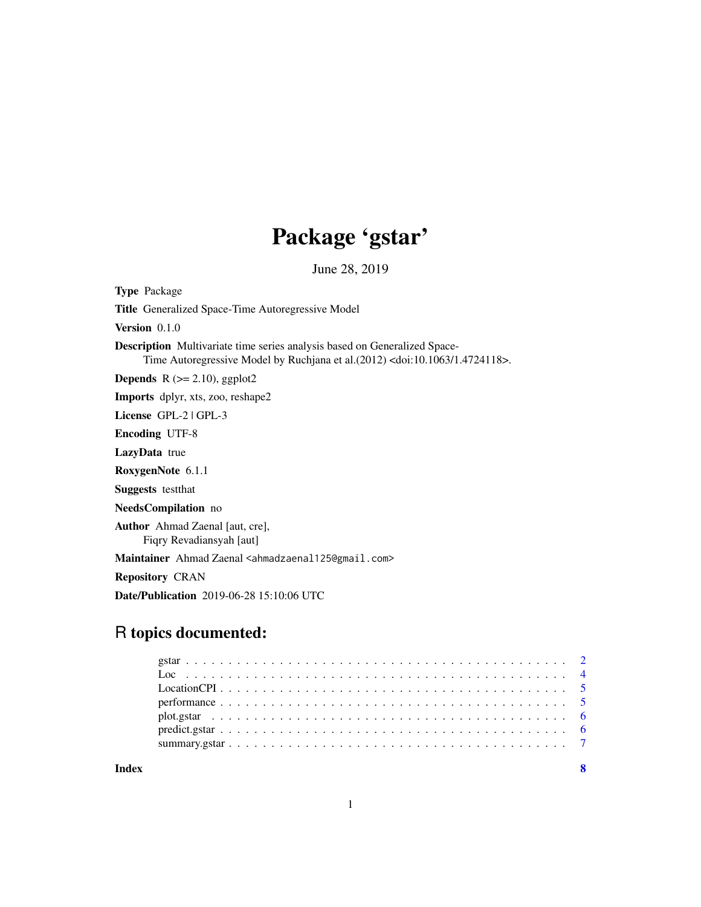## Package 'gstar'

June 28, 2019

<span id="page-0-0"></span>Type Package Title Generalized Space-Time Autoregressive Model Version 0.1.0 Description Multivariate time series analysis based on Generalized Space-Time Autoregressive Model by Ruchjana et al.(2012) <doi:10.1063/1.4724118>. **Depends** R  $(>= 2.10)$ , ggplot2 Imports dplyr, xts, zoo, reshape2 License GPL-2 | GPL-3 Encoding UTF-8 LazyData true RoxygenNote 6.1.1 Suggests testthat NeedsCompilation no Author Ahmad Zaenal [aut, cre], Fiqry Revadiansyah [aut] Maintainer Ahmad Zaenal <ahmadzaenal125@gmail.com> Repository CRAN Date/Publication 2019-06-28 15:10:06 UTC

### R topics documented:

|  |  |  |  |  |  |  |  |  |  |  |  |  |  |  |  |  |  | $predict.gstar \dots \dots \dots \dots \dots \dots \dots \dots \dots \dots \dots \dots \dots \dots \dots \dots \dots \dots$ |
|--|--|--|--|--|--|--|--|--|--|--|--|--|--|--|--|--|--|-----------------------------------------------------------------------------------------------------------------------------|

**Index** [8](#page-7-0) **8**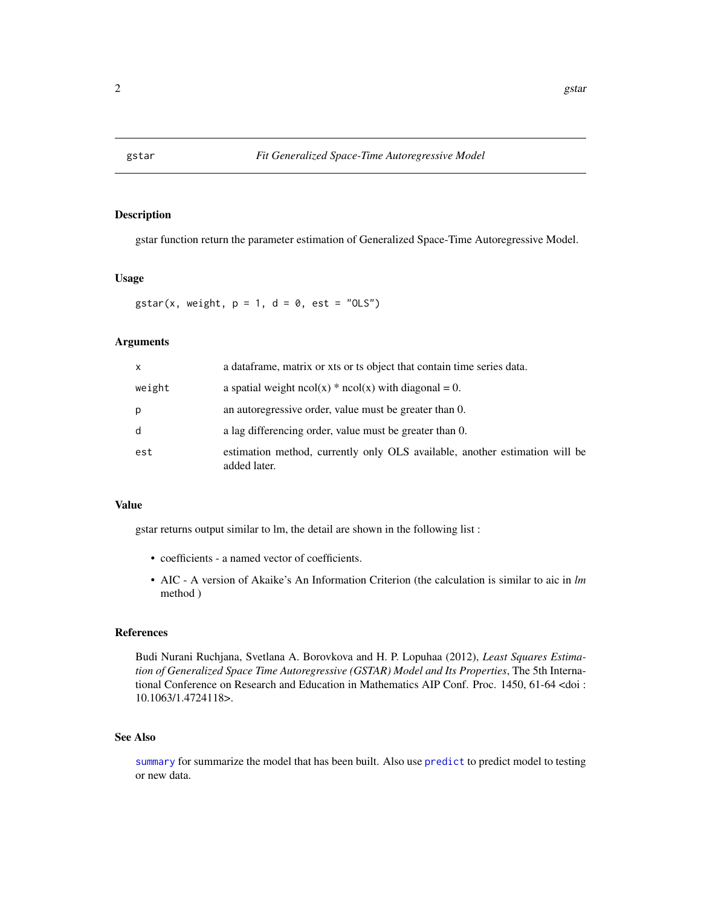<span id="page-1-0"></span>

#### Description

gstar function return the parameter estimation of Generalized Space-Time Autoregressive Model.

#### Usage

gstar(x, weight,  $p = 1$ ,  $d = 0$ , est = "OLS")

#### Arguments

| $\mathsf{x}$ | a data frame, matrix or xts or ts object that contain time series data.                     |
|--------------|---------------------------------------------------------------------------------------------|
| weight       | a spatial weight $ncol(x) * ncol(x)$ with diagonal = 0.                                     |
| p            | an autoregressive order, value must be greater than 0.                                      |
| d            | a lag differencing order, value must be greater than 0.                                     |
| est          | estimation method, currently only OLS available, another estimation will be<br>added later. |

#### Value

gstar returns output similar to lm, the detail are shown in the following list :

- coefficients a named vector of coefficients.
- AIC A version of Akaike's An Information Criterion (the calculation is similar to aic in *lm* method )

#### References

Budi Nurani Ruchjana, Svetlana A. Borovkova and H. P. Lopuhaa (2012), *Least Squares Estimation of Generalized Space Time Autoregressive (GSTAR) Model and Its Properties*, The 5th International Conference on Research and Education in Mathematics AIP Conf. Proc. 1450, 61-64 <doi : 10.1063/1.4724118>.

#### See Also

[summary](#page-0-0) for summarize the model that has been built. Also use [predict](#page-0-0) to predict model to testing or new data.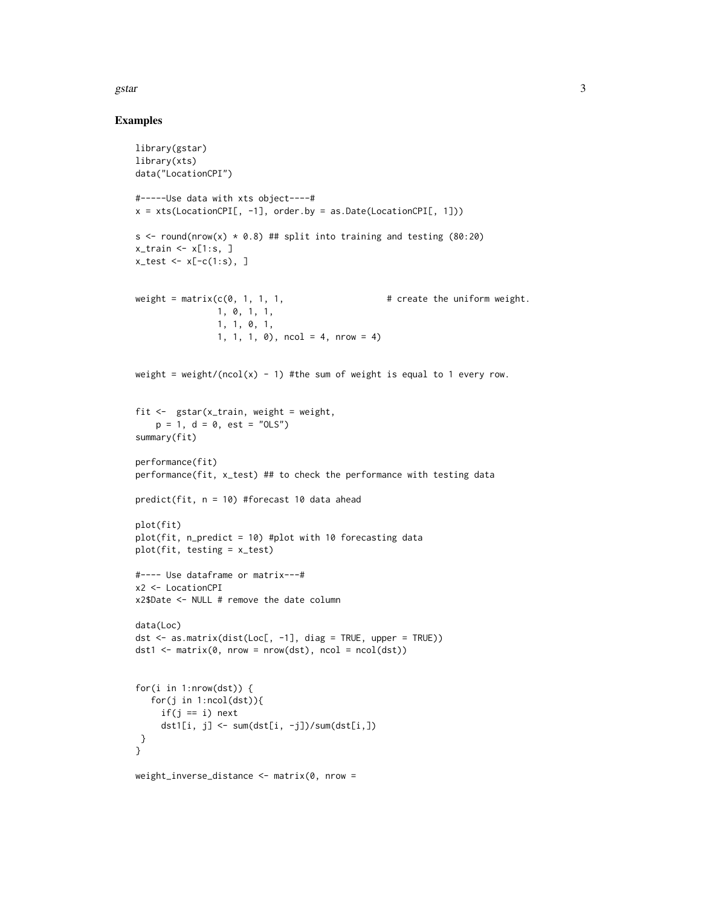#### gstar  $\frac{3}{3}$

#### Examples

```
library(gstar)
library(xts)
data("LocationCPI")
#-----Use data with xts object----#
x = xts(LocationCPI[, -1], order.by = as.Date(LocationCPI[, 1]))s \le round(nrow(x) * 0.8) ## split into training and testing (80:20)
x_ttrain \leq x[1:s, ]
x_test \leftarrow x[-c(1:s), ]weight = matrix(c(0, 1, 1, 1, \qquad \qquad \qquad # create the uniform weight.
                1, 0, 1, 1,
                1, 1, 0, 1,
                1, 1, 1, 0), ncol = 4, nrow = 4)
weight = weight/(ncol(x) - 1) #the sum of weight is equal to 1 every row.
fit <- gstar(x_train, weight = weight,
    p = 1, d = 0, est = "OLS")
summary(fit)
performance(fit)
performance(fit, x_test) ## to check the performance with testing data
predict(fit, n = 10) #forecast 10 data ahead
plot(fit)
plot(fit, n_predict = 10) #plot with 10 forecasting data
plot(fit, testing = x_test)
#---- Use dataframe or matrix---#
x2 <- LocationCPI
x2$Date <- NULL # remove the date column
data(Loc)
dst \leq as.matrix(dist(Loc[, -1], diag = TRUE, upper = TRUE))
dst1 \leq \text{matrix}(0, \text{now} = \text{now}(dst), \text{ncol} = \text{ncol}(dst))for(i in 1:nrow(dst)) {
   for(j in 1:ncol(dst)){
     if(j == i) next
     dst1[i, j] <- sum(dst[i, -j])/sum(dst[i,])
}
}
weight_inverse_distance \leq- matrix(0, nrow =
```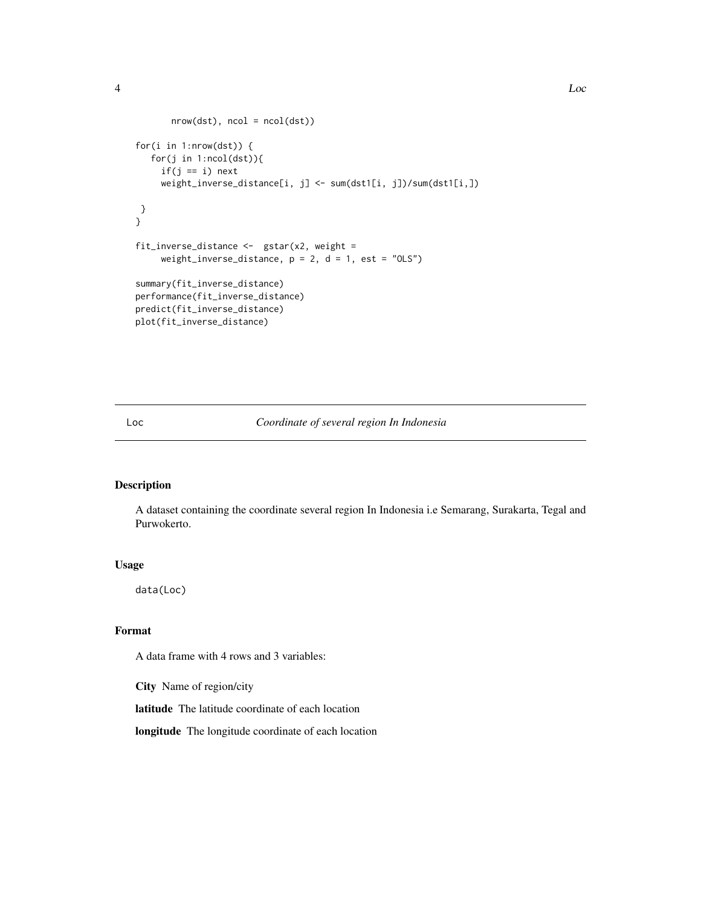```
nrow(dst), ncol = ncol(dst))for(i in 1:nrow(dst)) {
  for(j in 1:ncol(dst)){
    if(j == i) next
    weight_inverse_distance[i, j] <- sum(dst1[i, j])/sum(dst1[i,])
 }
}
fit_inverse_distance <- gstar(x2, weight =weight_inverse_distance, p = 2, d = 1, est = "OLS")
summary(fit_inverse_distance)
performance(fit_inverse_distance)
predict(fit_inverse_distance)
plot(fit_inverse_distance)
```
#### Loc *Coordinate of several region In Indonesia*

#### Description

A dataset containing the coordinate several region In Indonesia i.e Semarang, Surakarta, Tegal and Purwokerto.

#### Usage

data(Loc)

#### Format

A data frame with 4 rows and 3 variables:

City Name of region/city

latitude The latitude coordinate of each location

longitude The longitude coordinate of each location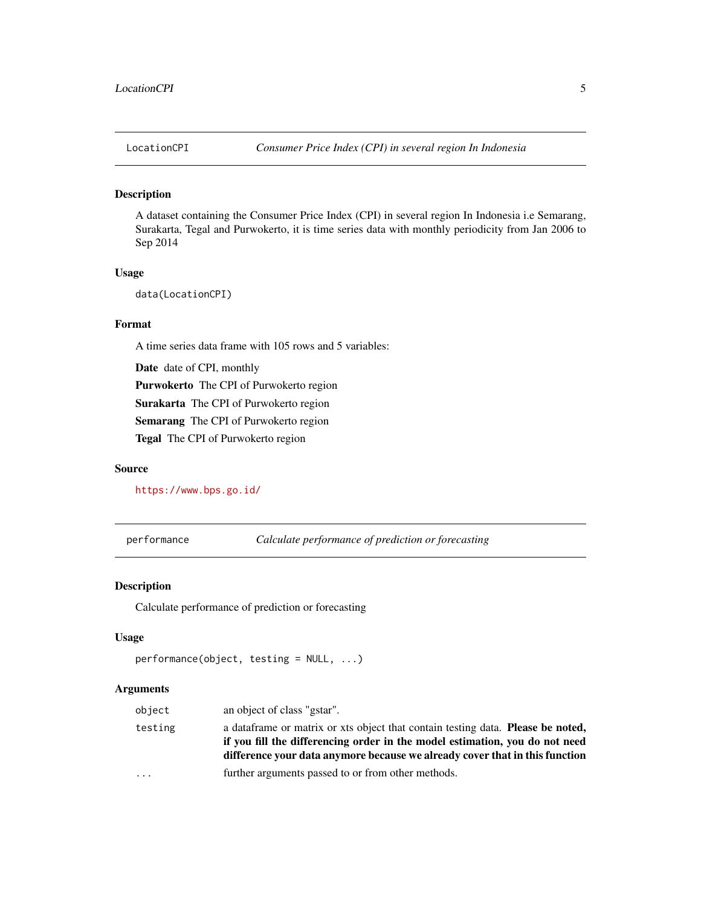<span id="page-4-0"></span>

#### Description

A dataset containing the Consumer Price Index (CPI) in several region In Indonesia i.e Semarang, Surakarta, Tegal and Purwokerto, it is time series data with monthly periodicity from Jan 2006 to Sep 2014

#### Usage

data(LocationCPI)

#### Format

A time series data frame with 105 rows and 5 variables:

Date date of CPI, monthly Purwokerto The CPI of Purwokerto region Surakarta The CPI of Purwokerto region Semarang The CPI of Purwokerto region Tegal The CPI of Purwokerto region

#### Source

<https://www.bps.go.id/>

performance *Calculate performance of prediction or forecasting*

#### Description

Calculate performance of prediction or forecasting

#### Usage

```
performance(object, testing = NULL, ...)
```
#### Arguments

| object    | an object of class "gstar".                                                                                                                                                                                                                           |
|-----------|-------------------------------------------------------------------------------------------------------------------------------------------------------------------------------------------------------------------------------------------------------|
| testing   | a data frame or matrix or xts object that contain testing data. <b>Please be noted,</b><br>if you fill the differencing order in the model estimation, you do not need<br>difference your data anymore because we already cover that in this function |
| $\ddotsc$ | further arguments passed to or from other methods.                                                                                                                                                                                                    |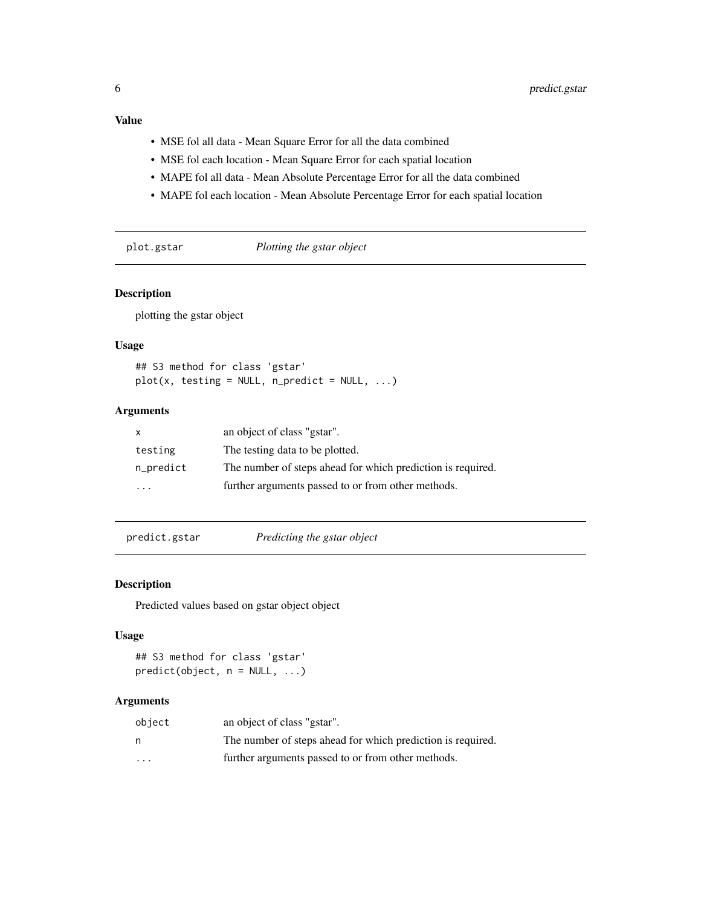#### <span id="page-5-0"></span>Value

- MSE fol all data Mean Square Error for all the data combined
- MSE fol each location Mean Square Error for each spatial location
- MAPE fol all data Mean Absolute Percentage Error for all the data combined
- MAPE fol each location Mean Absolute Percentage Error for each spatial location

plot.gstar *Plotting the gstar object*

#### Description

plotting the gstar object

#### Usage

## S3 method for class 'gstar'  $plot(x, testing = NULL, n$ \_predict = NULL, ...)

#### Arguments

|           | an object of class "gstar".                                 |
|-----------|-------------------------------------------------------------|
| testing   | The testing data to be plotted.                             |
| n_predict | The number of steps ahead for which prediction is required. |
| .         | further arguments passed to or from other methods.          |

predict.gstar *Predicting the gstar object*

#### Description

Predicted values based on gstar object object

#### Usage

```
## S3 method for class 'gstar'
predict(object, n = NULL, ...)
```
#### Arguments

| object  | an object of class "gstar".                                 |
|---------|-------------------------------------------------------------|
| n       | The number of steps ahead for which prediction is required. |
| $\cdot$ | further arguments passed to or from other methods.          |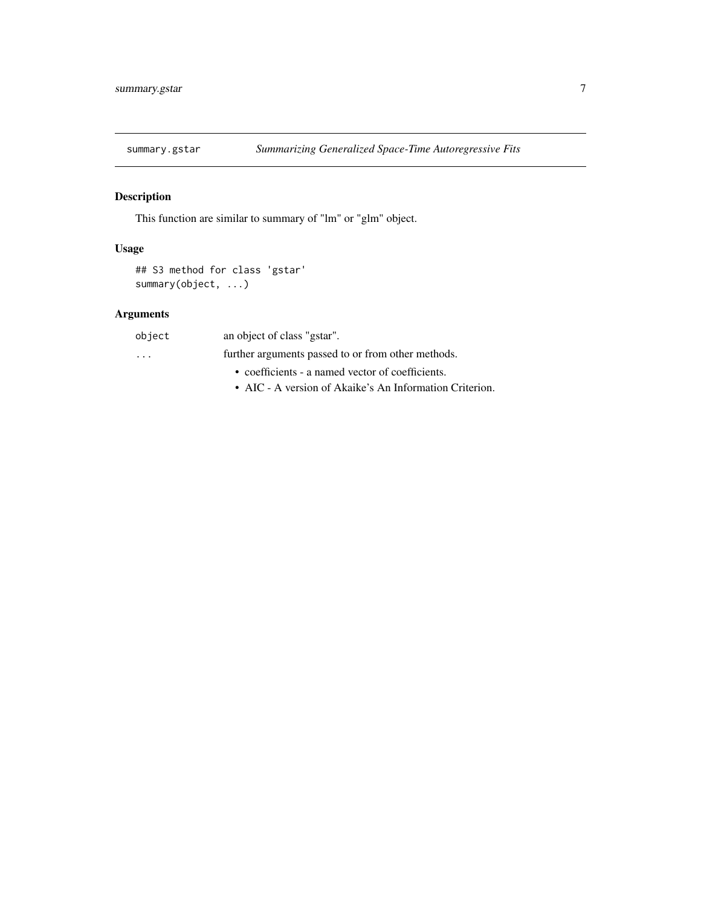<span id="page-6-0"></span>

#### Description

This function are similar to summary of "lm" or "glm" object.

#### Usage

```
## S3 method for class 'gstar'
summary(object, ...)
```
#### Arguments

| object   | an object of class "gstar".                             |
|----------|---------------------------------------------------------|
| $\cdots$ | further arguments passed to or from other methods.      |
|          | • coefficients - a named vector of coefficients.        |
|          | • AIC - A version of Akaike's An Information Criterion. |
|          |                                                         |